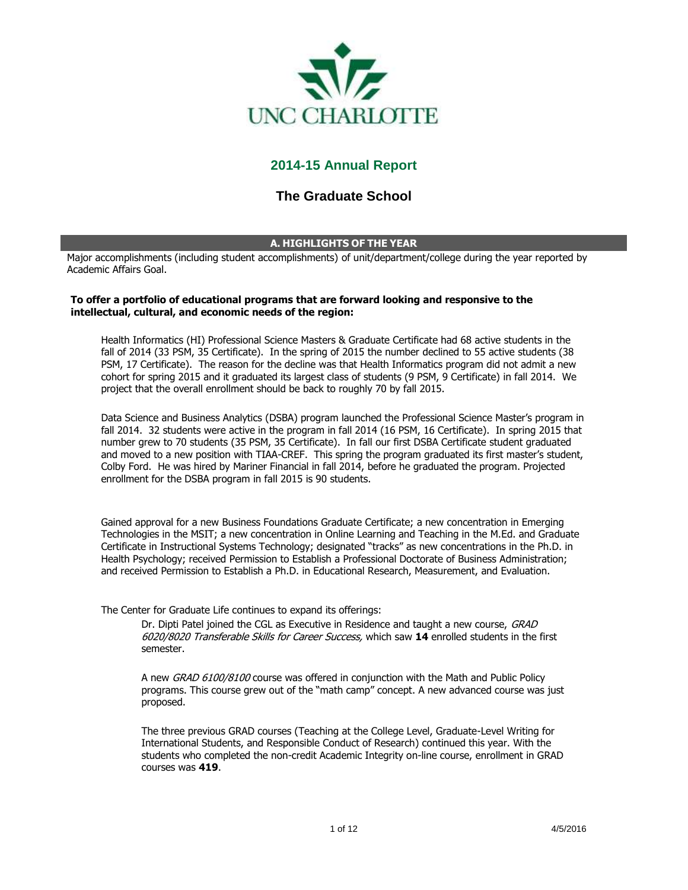

# **2014-15 Annual Report**

# **The Graduate School**

## **A. HIGHLIGHTS OF THE YEAR**

Major accomplishments (including student accomplishments) of unit/department/college during the year reported by Academic Affairs Goal.

## **To offer a portfolio of educational programs that are forward looking and responsive to the intellectual, cultural, and economic needs of the region:**

Health Informatics (HI) Professional Science Masters & Graduate Certificate had 68 active students in the fall of 2014 (33 PSM, 35 Certificate). In the spring of 2015 the number declined to 55 active students (38 PSM, 17 Certificate). The reason for the decline was that Health Informatics program did not admit a new cohort for spring 2015 and it graduated its largest class of students (9 PSM, 9 Certificate) in fall 2014. We project that the overall enrollment should be back to roughly 70 by fall 2015.

Data Science and Business Analytics (DSBA) program launched the Professional Science Master's program in fall 2014. 32 students were active in the program in fall 2014 (16 PSM, 16 Certificate). In spring 2015 that number grew to 70 students (35 PSM, 35 Certificate). In fall our first DSBA Certificate student graduated and moved to a new position with TIAA-CREF. This spring the program graduated its first master's student, Colby Ford. He was hired by Mariner Financial in fall 2014, before he graduated the program. Projected enrollment for the DSBA program in fall 2015 is 90 students.

Gained approval for a new Business Foundations Graduate Certificate; a new concentration in Emerging Technologies in the MSIT; a new concentration in Online Learning and Teaching in the M.Ed. and Graduate Certificate in Instructional Systems Technology; designated "tracks" as new concentrations in the Ph.D. in Health Psychology; received Permission to Establish a Professional Doctorate of Business Administration; and received Permission to Establish a Ph.D. in Educational Research, Measurement, and Evaluation.

The Center for Graduate Life continues to expand its offerings:

Dr. Dipti Patel joined the CGL as Executive in Residence and taught a new course, GRAD 6020/8020 Transferable Skills for Career Success, which saw **14** enrolled students in the first semester.

A new *GRAD 6100/8100* course was offered in conjunction with the Math and Public Policy programs. This course grew out of the "math camp" concept. A new advanced course was just proposed.

The three previous GRAD courses (Teaching at the College Level, Graduate-Level Writing for International Students, and Responsible Conduct of Research) continued this year. With the students who completed the non-credit Academic Integrity on-line course, enrollment in GRAD courses was **419**.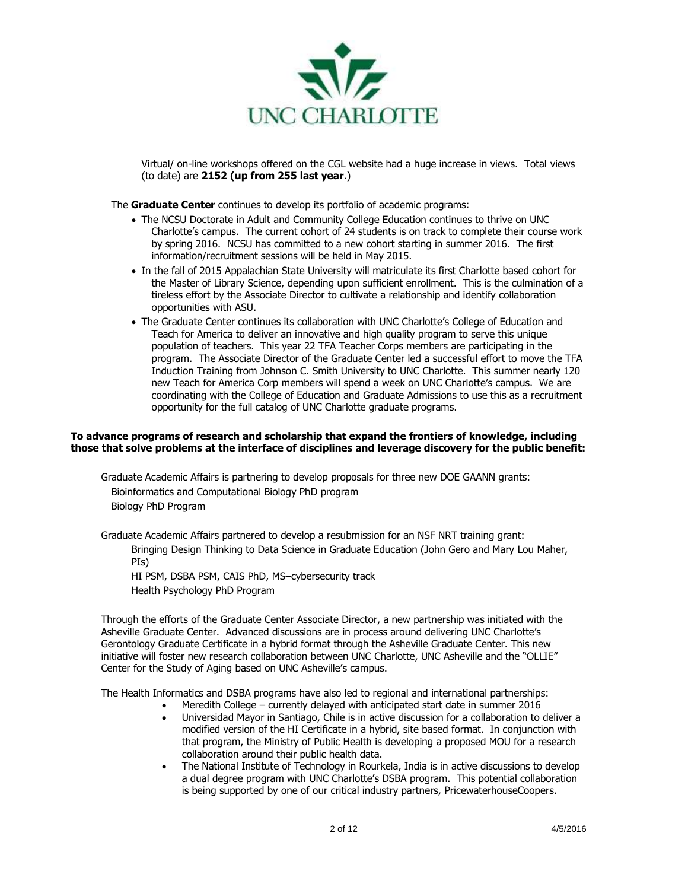

Virtual/ on-line workshops offered on the CGL website had a huge increase in views. Total views (to date) are **2152 (up from 255 last year**.)

The **Graduate Center** continues to develop its portfolio of academic programs:

- The NCSU Doctorate in Adult and Community College Education continues to thrive on UNC Charlotte's campus. The current cohort of 24 students is on track to complete their course work by spring 2016. NCSU has committed to a new cohort starting in summer 2016. The first information/recruitment sessions will be held in May 2015.
- In the fall of 2015 Appalachian State University will matriculate its first Charlotte based cohort for the Master of Library Science, depending upon sufficient enrollment. This is the culmination of a tireless effort by the Associate Director to cultivate a relationship and identify collaboration opportunities with ASU.
- The Graduate Center continues its collaboration with UNC Charlotte's College of Education and Teach for America to deliver an innovative and high quality program to serve this unique population of teachers. This year 22 TFA Teacher Corps members are participating in the program. The Associate Director of the Graduate Center led a successful effort to move the TFA Induction Training from Johnson C. Smith University to UNC Charlotte. This summer nearly 120 new Teach for America Corp members will spend a week on UNC Charlotte's campus. We are coordinating with the College of Education and Graduate Admissions to use this as a recruitment opportunity for the full catalog of UNC Charlotte graduate programs.

## **To advance programs of research and scholarship that expand the frontiers of knowledge, including those that solve problems at the interface of disciplines and leverage discovery for the public benefit:**

Graduate Academic Affairs is partnering to develop proposals for three new DOE GAANN grants: Bioinformatics and Computational Biology PhD program Biology PhD Program

Graduate Academic Affairs partnered to develop a resubmission for an NSF NRT training grant: Bringing Design Thinking to Data Science in Graduate Education (John Gero and Mary Lou Maher, PIs) HI PSM, DSBA PSM, CAIS PhD, MS–cybersecurity track

Health Psychology PhD Program

Through the efforts of the Graduate Center Associate Director, a new partnership was initiated with the Asheville Graduate Center. Advanced discussions are in process around delivering UNC Charlotte's Gerontology Graduate Certificate in a hybrid format through the Asheville Graduate Center. This new initiative will foster new research collaboration between UNC Charlotte, UNC Asheville and the "OLLIE" Center for the Study of Aging based on UNC Asheville's campus.

The Health Informatics and DSBA programs have also led to regional and international partnerships:

- Meredith College currently delayed with anticipated start date in summer 2016
- Universidad Mayor in Santiago, Chile is in active discussion for a collaboration to deliver a modified version of the HI Certificate in a hybrid, site based format. In conjunction with that program, the Ministry of Public Health is developing a proposed MOU for a research collaboration around their public health data.
- The National Institute of Technology in Rourkela, India is in active discussions to develop a dual degree program with UNC Charlotte's DSBA program. This potential collaboration is being supported by one of our critical industry partners, PricewaterhouseCoopers.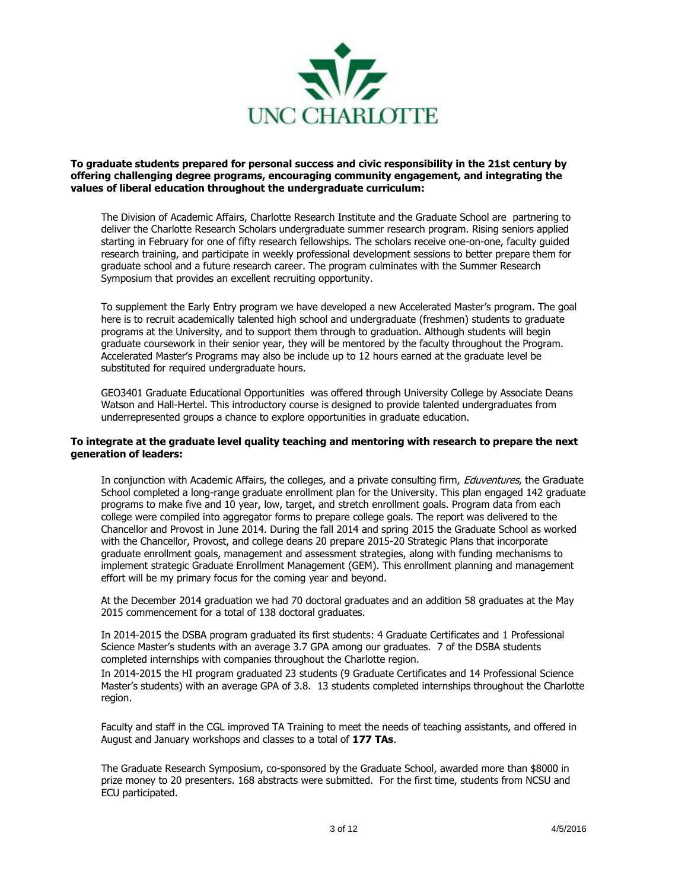

**To graduate students prepared for personal success and civic responsibility in the 21st century by offering challenging degree programs, encouraging community engagement, and integrating the values of liberal education throughout the undergraduate curriculum:**

The Division of Academic Affairs, Charlotte Research Institute and the Graduate School are partnering to deliver the Charlotte Research Scholars undergraduate summer research program. Rising seniors applied starting in February for one of fifty research fellowships. The scholars receive one-on-one, faculty guided research training, and participate in weekly professional development sessions to better prepare them for graduate school and a future research career. The program culminates with the Summer Research Symposium that provides an excellent recruiting opportunity.

To supplement the Early Entry program we have developed a new Accelerated Master's program. The goal here is to recruit academically talented high school and undergraduate (freshmen) students to graduate programs at the University, and to support them through to graduation. Although students will begin graduate coursework in their senior year, they will be mentored by the faculty throughout the Program. Accelerated Master's Programs may also be include up to 12 hours earned at the graduate level be substituted for required undergraduate hours.

GEO3401 Graduate Educational Opportunities was offered through University College by Associate Deans Watson and Hall-Hertel. This introductory course is designed to provide talented undergraduates from underrepresented groups a chance to explore opportunities in graduate education.

## **To integrate at the graduate level quality teaching and mentoring with research to prepare the next generation of leaders:**

In conjunction with Academic Affairs, the colleges, and a private consulting firm, *Eduventures*, the Graduate School completed a long-range graduate enrollment plan for the University. This plan engaged 142 graduate programs to make five and 10 year, low, target, and stretch enrollment goals. Program data from each college were compiled into aggregator forms to prepare college goals. The report was delivered to the Chancellor and Provost in June 2014. During the fall 2014 and spring 2015 the Graduate School as worked with the Chancellor, Provost, and college deans 20 prepare 2015-20 Strategic Plans that incorporate graduate enrollment goals, management and assessment strategies, along with funding mechanisms to implement strategic Graduate Enrollment Management (GEM). This enrollment planning and management effort will be my primary focus for the coming year and beyond.

At the December 2014 graduation we had 70 doctoral graduates and an addition 58 graduates at the May 2015 commencement for a total of 138 doctoral graduates.

In 2014-2015 the DSBA program graduated its first students: 4 Graduate Certificates and 1 Professional Science Master's students with an average 3.7 GPA among our graduates. 7 of the DSBA students completed internships with companies throughout the Charlotte region.

In 2014-2015 the HI program graduated 23 students (9 Graduate Certificates and 14 Professional Science Master's students) with an average GPA of 3.8. 13 students completed internships throughout the Charlotte region.

Faculty and staff in the CGL improved TA Training to meet the needs of teaching assistants, and offered in August and January workshops and classes to a total of **177 TAs**.

The Graduate Research Symposium, co-sponsored by the Graduate School, awarded more than \$8000 in prize money to 20 presenters. 168 abstracts were submitted. For the first time, students from NCSU and ECU participated.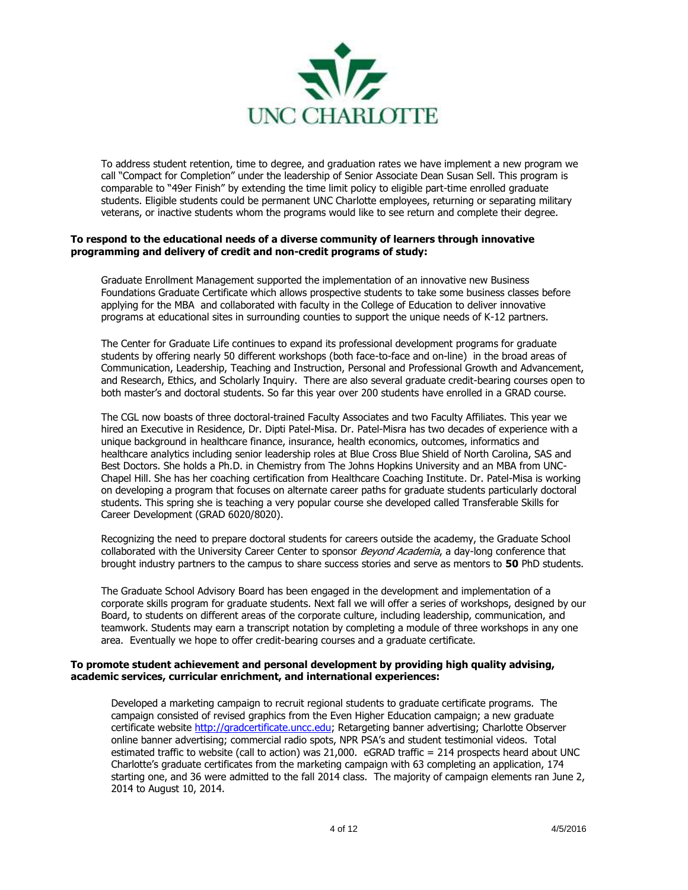

To address student retention, time to degree, and graduation rates we have implement a new program we call "Compact for Completion" under the leadership of Senior Associate Dean Susan Sell. This program is comparable to "49er Finish" by extending the time limit policy to eligible part-time enrolled graduate students. Eligible students could be permanent UNC Charlotte employees, returning or separating military veterans, or inactive students whom the programs would like to see return and complete their degree.

## **To respond to the educational needs of a diverse community of learners through innovative programming and delivery of credit and non-credit programs of study:**

Graduate Enrollment Management supported the implementation of an innovative new Business Foundations Graduate Certificate which allows prospective students to take some business classes before applying for the MBA and collaborated with faculty in the College of Education to deliver innovative programs at educational sites in surrounding counties to support the unique needs of K-12 partners.

The Center for Graduate Life continues to expand its professional development programs for graduate students by offering nearly 50 different workshops (both face-to-face and on-line) in the broad areas of Communication, Leadership, Teaching and Instruction, Personal and Professional Growth and Advancement, and Research, Ethics, and Scholarly Inquiry. There are also several graduate credit-bearing courses open to both master's and doctoral students. So far this year over 200 students have enrolled in a GRAD course.

The CGL now boasts of three doctoral-trained Faculty Associates and two Faculty Affiliates. This year we hired an Executive in Residence, Dr. Dipti Patel-Misa. Dr. Patel-Misra has two decades of experience with a unique background in healthcare finance, insurance, health economics, outcomes, informatics and healthcare analytics including senior leadership roles at Blue Cross Blue Shield of North Carolina, SAS and Best Doctors. She holds a Ph.D. in Chemistry from The Johns Hopkins University and an MBA from UNC-Chapel Hill. She has her coaching certification from Healthcare Coaching Institute. Dr. Patel-Misa is working on developing a program that focuses on alternate career paths for graduate students particularly doctoral students. This spring she is teaching a very popular course she developed called Transferable Skills for Career Development (GRAD 6020/8020).

Recognizing the need to prepare doctoral students for careers outside the academy, the Graduate School collaborated with the University Career Center to sponsor *Beyond Academia*, a day-long conference that brought industry partners to the campus to share success stories and serve as mentors to **50** PhD students.

The Graduate School Advisory Board has been engaged in the development and implementation of a corporate skills program for graduate students. Next fall we will offer a series of workshops, designed by our Board, to students on different areas of the corporate culture, including leadership, communication, and teamwork. Students may earn a transcript notation by completing a module of three workshops in any one area. Eventually we hope to offer credit-bearing courses and a graduate certificate.

## **To promote student achievement and personal development by providing high quality advising, academic services, curricular enrichment, and international experiences:**

Developed a marketing campaign to recruit regional students to graduate certificate programs. The campaign consisted of revised graphics from the Even Higher Education campaign; a new graduate certificate website [http://gradcertificate.uncc.edu;](http://gradcertificate.uncc.edu/) Retargeting banner advertising; Charlotte Observer online banner advertising; commercial radio spots, NPR PSA's and student testimonial videos. Total estimated traffic to website (call to action) was 21,000. eGRAD traffic = 214 prospects heard about UNC Charlotte's graduate certificates from the marketing campaign with 63 completing an application, 174 starting one, and 36 were admitted to the fall 2014 class. The majority of campaign elements ran June 2, 2014 to August 10, 2014.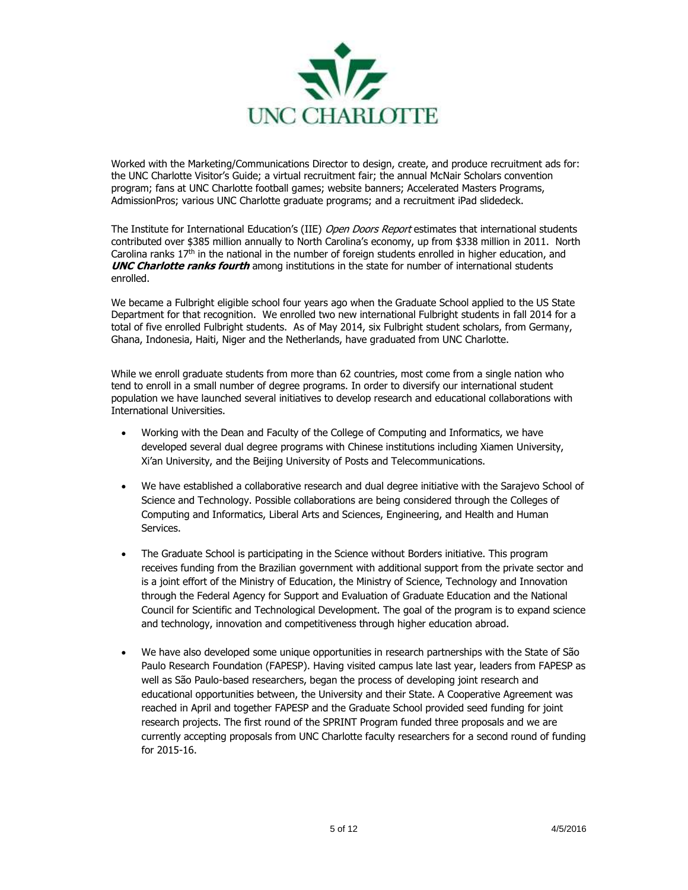

Worked with the Marketing/Communications Director to design, create, and produce recruitment ads for: the UNC Charlotte Visitor's Guide; a virtual recruitment fair; the annual McNair Scholars convention program; fans at UNC Charlotte football games; website banners; Accelerated Masters Programs, AdmissionPros; various UNC Charlotte graduate programs; and a recruitment iPad slidedeck.

The Institute for International Education's (IIE) Open Doors Report estimates that international students contributed over \$385 million annually to North Carolina's economy, up from \$338 million in 2011. North Carolina ranks  $17<sup>th</sup>$  in the national in the number of foreign students enrolled in higher education, and **UNC Charlotte ranks fourth** among institutions in the state for number of international students enrolled.

We became a Fulbright eligible school four years ago when the Graduate School applied to the US State Department for that recognition. We enrolled two new international Fulbright students in fall 2014 for a total of five enrolled Fulbright students. As of May 2014, six Fulbright student scholars, from Germany, Ghana, Indonesia, Haiti, Niger and the Netherlands, have graduated from UNC Charlotte.

While we enroll graduate students from more than 62 countries, most come from a single nation who tend to enroll in a small number of degree programs. In order to diversify our international student population we have launched several initiatives to develop research and educational collaborations with International Universities.

- Working with the Dean and Faculty of the College of Computing and Informatics, we have developed several dual degree programs with Chinese institutions including Xiamen University, Xi'an University, and the Beijing University of Posts and Telecommunications.
- We have established a collaborative research and dual degree initiative with the Sarajevo School of Science and Technology. Possible collaborations are being considered through the Colleges of Computing and Informatics, Liberal Arts and Sciences, Engineering, and Health and Human Services.
- The Graduate School is participating in the Science without Borders initiative. This program receives funding from the Brazilian government with additional support from the private sector and is a joint effort of the Ministry of Education, the Ministry of Science, Technology and Innovation through the Federal Agency for Support and Evaluation of Graduate Education and the National Council for Scientific and Technological Development. The goal of the program is to expand science and technology, innovation and competitiveness through higher education abroad.
- We have also developed some unique opportunities in research partnerships with the State of São Paulo Research Foundation (FAPESP). Having visited campus late last year, leaders from FAPESP as well as São Paulo-based researchers, began the process of developing joint research and educational opportunities between, the University and their State. A Cooperative Agreement was reached in April and together FAPESP and the Graduate School provided seed funding for joint research projects. The first round of the SPRINT Program funded three proposals and we are currently accepting proposals from UNC Charlotte faculty researchers for a second round of funding for 2015-16.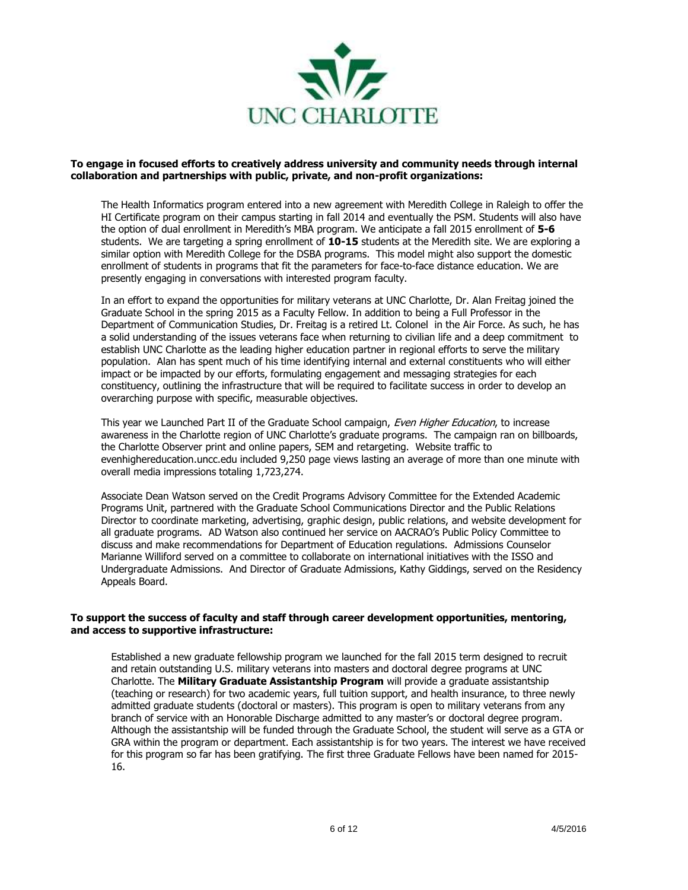

## **To engage in focused efforts to creatively address university and community needs through internal collaboration and partnerships with public, private, and non-profit organizations:**

The Health Informatics program entered into a new agreement with Meredith College in Raleigh to offer the HI Certificate program on their campus starting in fall 2014 and eventually the PSM. Students will also have the option of dual enrollment in Meredith's MBA program. We anticipate a fall 2015 enrollment of **5-6** students. We are targeting a spring enrollment of **10-15** students at the Meredith site. We are exploring a similar option with Meredith College for the DSBA programs. This model might also support the domestic enrollment of students in programs that fit the parameters for face-to-face distance education. We are presently engaging in conversations with interested program faculty.

In an effort to expand the opportunities for military veterans at UNC Charlotte, Dr. Alan Freitag joined the Graduate School in the spring 2015 as a Faculty Fellow. In addition to being a Full Professor in the Department of Communication Studies, Dr. Freitag is a retired Lt. Colonel in the Air Force. As such, he has a solid understanding of the issues veterans face when returning to civilian life and a deep commitment to establish UNC Charlotte as the leading higher education partner in regional efforts to serve the military population. Alan has spent much of his time identifying internal and external constituents who will either impact or be impacted by our efforts, formulating engagement and messaging strategies for each constituency, outlining the infrastructure that will be required to facilitate success in order to develop an overarching purpose with specific, measurable objectives.

This year we Launched Part II of the Graduate School campaign, Even Higher Education, to increase awareness in the Charlotte region of UNC Charlotte's graduate programs. The campaign ran on billboards, the Charlotte Observer print and online papers, SEM and retargeting. Website traffic to evenhighereducation.uncc.edu included 9,250 page views lasting an average of more than one minute with overall media impressions totaling 1,723,274.

Associate Dean Watson served on the Credit Programs Advisory Committee for the Extended Academic Programs Unit, partnered with the Graduate School Communications Director and the Public Relations Director to coordinate marketing, advertising, graphic design, public relations, and website development for all graduate programs. AD Watson also continued her service on AACRAO's Public Policy Committee to discuss and make recommendations for Department of Education regulations. Admissions Counselor Marianne Williford served on a committee to collaborate on international initiatives with the ISSO and Undergraduate Admissions. And Director of Graduate Admissions, Kathy Giddings, served on the Residency Appeals Board.

## **To support the success of faculty and staff through career development opportunities, mentoring, and access to supportive infrastructure:**

Established a new graduate fellowship program we launched for the fall 2015 term designed to recruit and retain outstanding U.S. military veterans into masters and doctoral degree programs at UNC Charlotte. The **Military Graduate Assistantship Program** will provide a graduate assistantship (teaching or research) for two academic years, full tuition support, and health insurance, to three newly admitted graduate students (doctoral or masters). This program is open to military veterans from any branch of service with an Honorable Discharge admitted to any master's or doctoral degree program. Although the assistantship will be funded through the Graduate School, the student will serve as a GTA or GRA within the program or department. Each assistantship is for two years. The interest we have received for this program so far has been gratifying. The first three Graduate Fellows have been named for 2015- 16.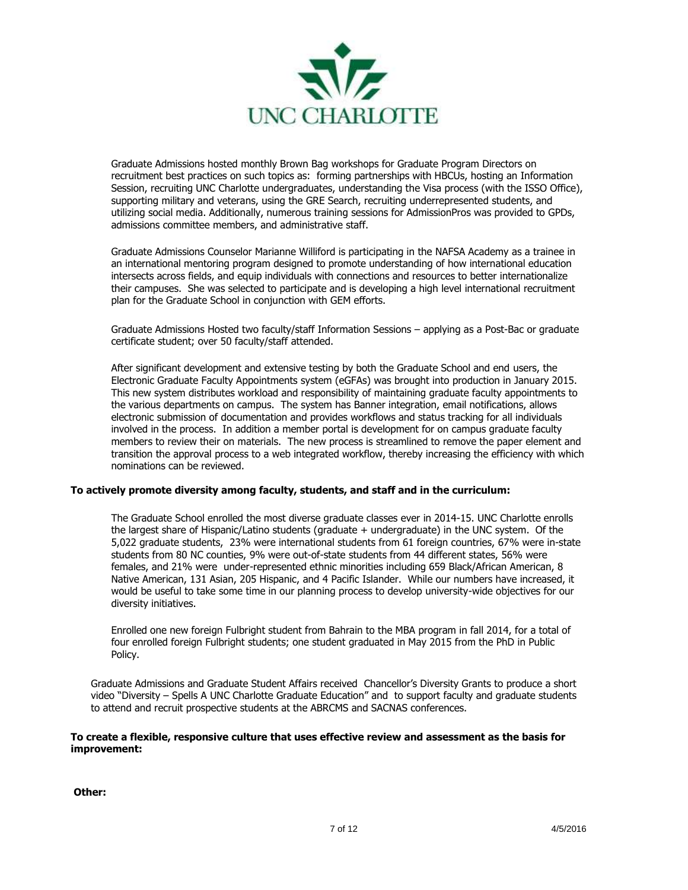

Graduate Admissions hosted monthly Brown Bag workshops for Graduate Program Directors on recruitment best practices on such topics as: forming partnerships with HBCUs, hosting an Information Session, recruiting UNC Charlotte undergraduates, understanding the Visa process (with the ISSO Office), supporting military and veterans, using the GRE Search, recruiting underrepresented students, and utilizing social media. Additionally, numerous training sessions for AdmissionPros was provided to GPDs, admissions committee members, and administrative staff.

Graduate Admissions Counselor Marianne Williford is participating in the NAFSA Academy as a trainee in an international mentoring program designed to promote understanding of how international education intersects across fields, and equip individuals with connections and resources to better internationalize their campuses. She was selected to participate and is developing a high level international recruitment plan for the Graduate School in conjunction with GEM efforts.

Graduate Admissions Hosted two faculty/staff Information Sessions – applying as a Post-Bac or graduate certificate student; over 50 faculty/staff attended.

After significant development and extensive testing by both the Graduate School and end users, the Electronic Graduate Faculty Appointments system (eGFAs) was brought into production in January 2015. This new system distributes workload and responsibility of maintaining graduate faculty appointments to the various departments on campus. The system has Banner integration, email notifications, allows electronic submission of documentation and provides workflows and status tracking for all individuals involved in the process. In addition a member portal is development for on campus graduate faculty members to review their on materials. The new process is streamlined to remove the paper element and transition the approval process to a web integrated workflow, thereby increasing the efficiency with which nominations can be reviewed.

## **To actively promote diversity among faculty, students, and staff and in the curriculum:**

The Graduate School enrolled the most diverse graduate classes ever in 2014-15. UNC Charlotte enrolls the largest share of Hispanic/Latino students (graduate + undergraduate) in the UNC system.Of the 5,022 graduate students, 23% were international students from 61 foreign countries, 67% were in-state students from 80 NC counties, 9% were out-of-state students from 44 different states, 56% were females, and 21% were under-represented ethnic minorities including 659 Black/African American, 8 Native American, 131 Asian, 205 Hispanic, and 4 Pacific Islander. While our numbers have increased, it would be useful to take some time in our planning process to develop university-wide objectives for our diversity initiatives.

Enrolled one new foreign Fulbright student from Bahrain to the MBA program in fall 2014, for a total of four enrolled foreign Fulbright students; one student graduated in May 2015 from the PhD in Public Policy.

Graduate Admissions and Graduate Student Affairs received Chancellor's Diversity Grants to produce a short video "Diversity – Spells A UNC Charlotte Graduate Education" and to support faculty and graduate students to attend and recruit prospective students at the ABRCMS and SACNAS conferences.

## **To create a flexible, responsive culture that uses effective review and assessment as the basis for improvement:**

**Other:**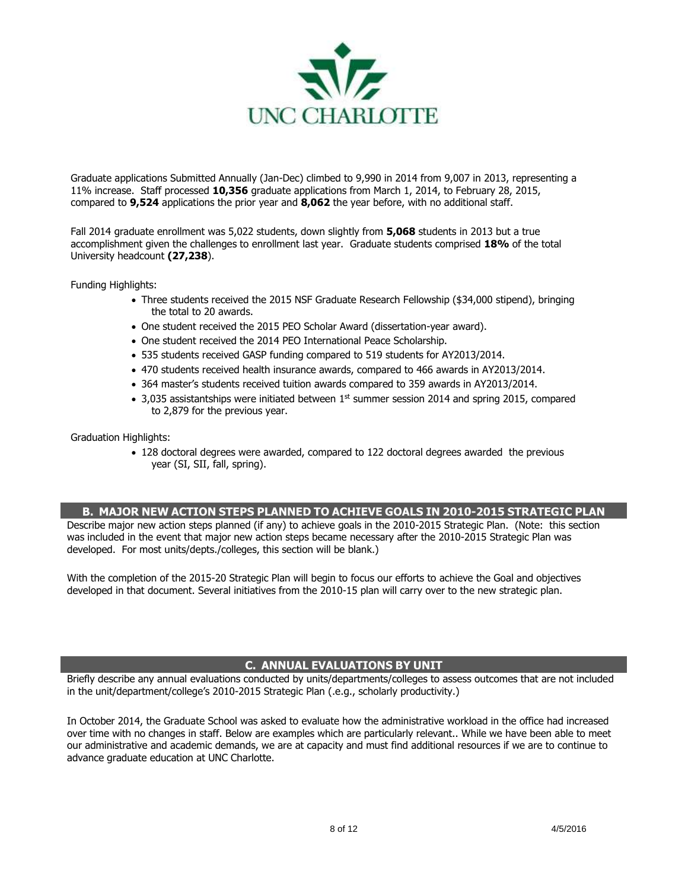

Graduate applications Submitted Annually (Jan-Dec) climbed to 9,990 in 2014 from 9,007 in 2013, representing a 11% increase. Staff processed **10,356** graduate applications from March 1, 2014, to February 28, 2015, compared to **9,524** applications the prior year and **8,062** the year before, with no additional staff.

Fall 2014 graduate enrollment was 5,022 students, down slightly from **5,068** students in 2013 but a true accomplishment given the challenges to enrollment last year. Graduate students comprised **18%** of the total University headcount **(27,238**).

Funding Highlights:

- Three students received the 2015 NSF Graduate Research Fellowship (\$34,000 stipend), bringing the total to 20 awards.
- One student received the 2015 PEO Scholar Award (dissertation-year award).
- One student received the 2014 PEO International Peace Scholarship.
- 535 students received GASP funding compared to 519 students for AY2013/2014.
- 470 students received health insurance awards, compared to 466 awards in AY2013/2014.
- 364 master's students received tuition awards compared to 359 awards in AY2013/2014.
- 3,035 assistantships were initiated between  $1<sup>st</sup>$  summer session 2014 and spring 2015, compared to 2,879 for the previous year.

Graduation Highlights:

 128 doctoral degrees were awarded, compared to 122 doctoral degrees awarded the previous year (SI, SII, fall, spring).

## **B. MAJOR NEW ACTION STEPS PLANNED TO ACHIEVE GOALS IN 2010-2015 STRATEGIC PLAN**

Describe major new action steps planned (if any) to achieve goals in the 2010-2015 Strategic Plan. (Note: this section was included in the event that major new action steps became necessary after the 2010-2015 Strategic Plan was developed. For most units/depts./colleges, this section will be blank.)

With the completion of the 2015-20 Strategic Plan will begin to focus our efforts to achieve the Goal and objectives developed in that document. Several initiatives from the 2010-15 plan will carry over to the new strategic plan.

## **C. ANNUAL EVALUATIONS BY UNIT**

Briefly describe any annual evaluations conducted by units/departments/colleges to assess outcomes that are not included in the unit/department/college's 2010-2015 Strategic Plan (.e.g., scholarly productivity.)

In October 2014, the Graduate School was asked to evaluate how the administrative workload in the office had increased over time with no changes in staff. Below are examples which are particularly relevant.. While we have been able to meet our administrative and academic demands, we are at capacity and must find additional resources if we are to continue to advance graduate education at UNC Charlotte.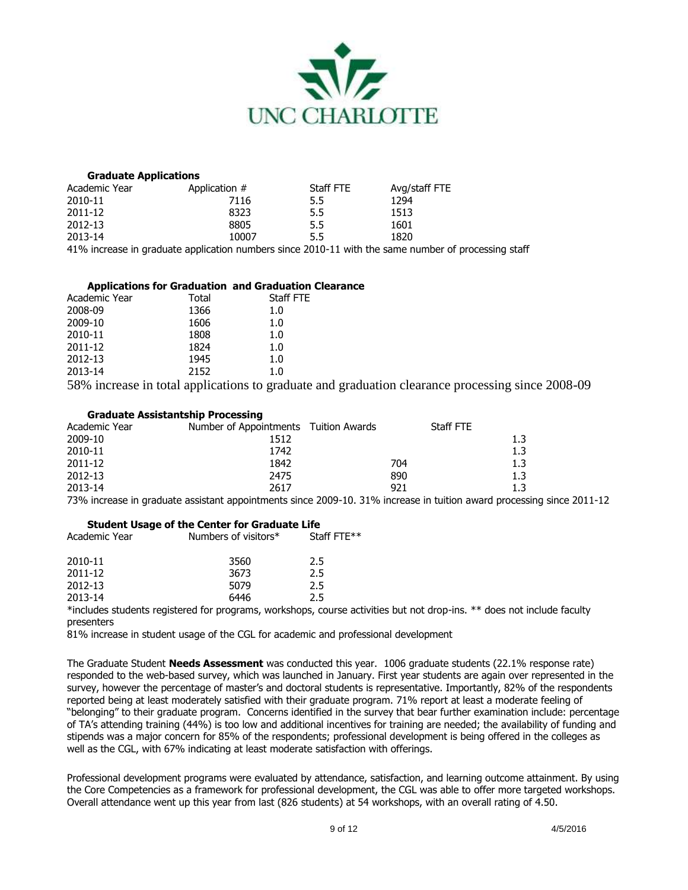

#### **Graduate Applications**

| Academic Year | Application # | Staff FTE | Avg/staff FTE |
|---------------|---------------|-----------|---------------|
| 2010-11       | 7116          | 5.5       | 1294          |
| 2011-12       | 8323          | 5.5       | 1513          |
| 2012-13       | 8805          | 5.5       | 1601          |
| 2013-14       | 10007         | 5.5       | 1820          |
| .             | .             | .         |               |

41% increase in graduate application numbers since 2010-11 with the same number of processing staff

## **Applications for Graduation and Graduation Clearance**

| Academic Year | Total | Staff FTE |
|---------------|-------|-----------|
| 2008-09       | 1366  | 1.0       |
| 2009-10       | 1606  | 1.0       |
| 2010-11       | 1808  | 1.0       |
| 2011-12       | 1824  | 1.0       |
| 2012-13       | 1945  | 1.0       |
| 2013-14       | 2152  | 1.0       |
|               |       |           |

58% increase in total applications to graduate and graduation clearance processing since 2008-09

# **Graduate Assistantship Processing**

| Academic Year | Number of Appointments Tuition Awards |     | Staff FTE |     |
|---------------|---------------------------------------|-----|-----------|-----|
| 2009-10       | 1512                                  |     |           | 1.3 |
| 2010-11       | 1742                                  |     |           | 1.3 |
| 2011-12       | 1842                                  | 704 |           | 1.3 |
| 2012-13       | 2475                                  | 890 |           | 1.3 |
| 2013-14       | 2617                                  | 921 |           | 1.3 |

73% increase in graduate assistant appointments since 2009-10. 31% increase in tuition award processing since 2011-12

## **Student Usage of the Center for Graduate Life**

| Academic Year                                                                                                                                                                                                                   | Numbers of visitors* | Staff FTF** |
|---------------------------------------------------------------------------------------------------------------------------------------------------------------------------------------------------------------------------------|----------------------|-------------|
| 2010-11                                                                                                                                                                                                                         | 3560                 | 2.5         |
| 2011-12                                                                                                                                                                                                                         | 3673                 | 2.5         |
| 2012-13                                                                                                                                                                                                                         | 5079                 | 2.5         |
| 2013-14                                                                                                                                                                                                                         | 6446                 | 2.5         |
| $\sim$ . The contract of the contract of the contract of the contract of the contract of the contract of the contract of the contract of the contract of the contract of the contract of the contract of the contract of the co |                      |             |

\*includes students registered for programs, workshops, course activities but not drop-ins. \*\* does not include faculty presenters

81% increase in student usage of the CGL for academic and professional development

The Graduate Student **Needs Assessment** was conducted this year. 1006 graduate students (22.1% response rate) responded to the web-based survey, which was launched in January. First year students are again over represented in the survey, however the percentage of master's and doctoral students is representative. Importantly, 82% of the respondents reported being at least moderately satisfied with their graduate program. 71% report at least a moderate feeling of "belonging" to their graduate program. Concerns identified in the survey that bear further examination include: percentage of TA's attending training (44%) is too low and additional incentives for training are needed; the availability of funding and stipends was a major concern for 85% of the respondents; professional development is being offered in the colleges as well as the CGL, with 67% indicating at least moderate satisfaction with offerings.

Professional development programs were evaluated by attendance, satisfaction, and learning outcome attainment. By using the Core Competencies as a framework for professional development, the CGL was able to offer more targeted workshops. Overall attendance went up this year from last (826 students) at 54 workshops, with an overall rating of 4.50.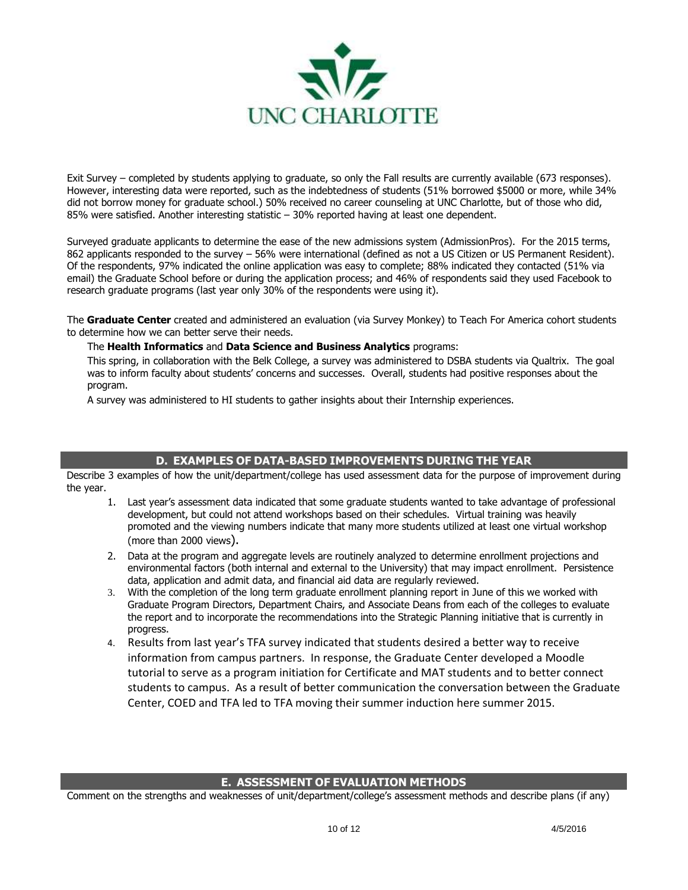

Exit Survey – completed by students applying to graduate, so only the Fall results are currently available (673 responses). However, interesting data were reported, such as the indebtedness of students (51% borrowed \$5000 or more, while 34% did not borrow money for graduate school.) 50% received no career counseling at UNC Charlotte, but of those who did, 85% were satisfied. Another interesting statistic – 30% reported having at least one dependent.

Surveyed graduate applicants to determine the ease of the new admissions system (AdmissionPros). For the 2015 terms, 862 applicants responded to the survey – 56% were international (defined as not a US Citizen or US Permanent Resident). Of the respondents, 97% indicated the online application was easy to complete; 88% indicated they contacted (51% via email) the Graduate School before or during the application process; and 46% of respondents said they used Facebook to research graduate programs (last year only 30% of the respondents were using it).

The **Graduate Center** created and administered an evaluation (via Survey Monkey) to Teach For America cohort students to determine how we can better serve their needs.

## The **Health Informatics** and **Data Science and Business Analytics** programs:

This spring, in collaboration with the Belk College, a survey was administered to DSBA students via Qualtrix. The goal was to inform faculty about students' concerns and successes. Overall, students had positive responses about the program.

A survey was administered to HI students to gather insights about their Internship experiences.

## **D. EXAMPLES OF DATA-BASED IMPROVEMENTS DURING THE YEAR**

Describe 3 examples of how the unit/department/college has used assessment data for the purpose of improvement during the year.

- 1. Last year's assessment data indicated that some graduate students wanted to take advantage of professional development, but could not attend workshops based on their schedules. Virtual training was heavily promoted and the viewing numbers indicate that many more students utilized at least one virtual workshop (more than 2000 views).
- 2. Data at the program and aggregate levels are routinely analyzed to determine enrollment projections and environmental factors (both internal and external to the University) that may impact enrollment. Persistence data, application and admit data, and financial aid data are regularly reviewed.
- 3. With the completion of the long term graduate enrollment planning report in June of this we worked with Graduate Program Directors, Department Chairs, and Associate Deans from each of the colleges to evaluate the report and to incorporate the recommendations into the Strategic Planning initiative that is currently in progress.
- 4. Results from last year's TFA survey indicated that students desired a better way to receive information from campus partners. In response, the Graduate Center developed a Moodle tutorial to serve as a program initiation for Certificate and MAT students and to better connect students to campus. As a result of better communication the conversation between the Graduate Center, COED and TFA led to TFA moving their summer induction here summer 2015.

## **E. ASSESSMENT OF EVALUATION METHODS**

Comment on the strengths and weaknesses of unit/department/college's assessment methods and describe plans (if any)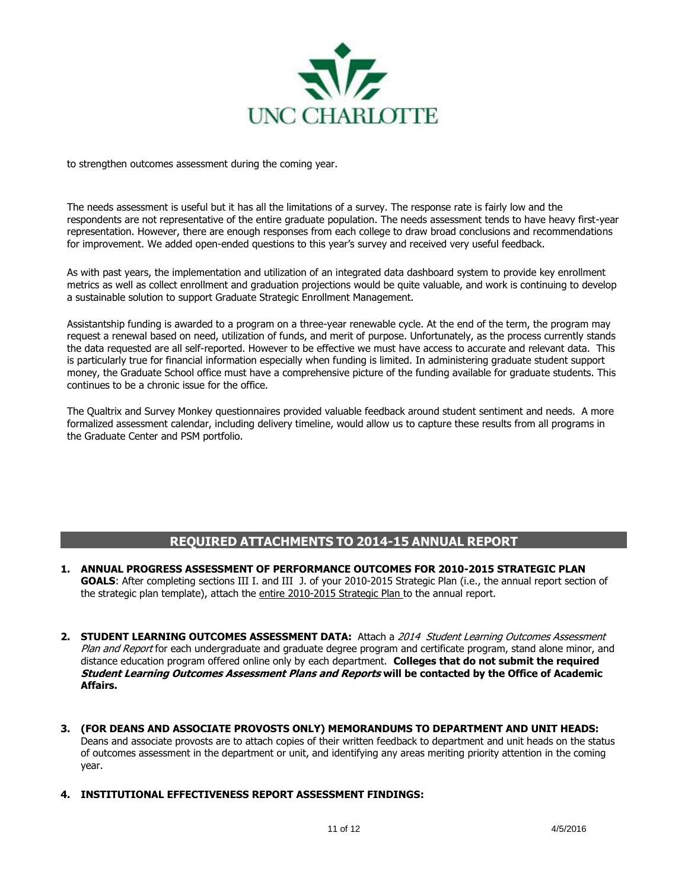

to strengthen outcomes assessment during the coming year.

The needs assessment is useful but it has all the limitations of a survey. The response rate is fairly low and the respondents are not representative of the entire graduate population. The needs assessment tends to have heavy first-year representation. However, there are enough responses from each college to draw broad conclusions and recommendations for improvement. We added open-ended questions to this year's survey and received very useful feedback.

As with past years, the implementation and utilization of an integrated data dashboard system to provide key enrollment metrics as well as collect enrollment and graduation projections would be quite valuable, and work is continuing to develop a sustainable solution to support Graduate Strategic Enrollment Management.

Assistantship funding is awarded to a program on a three-year renewable cycle. At the end of the term, the program may request a renewal based on need, utilization of funds, and merit of purpose. Unfortunately, as the process currently stands the data requested are all self-reported. However to be effective we must have access to accurate and relevant data. This is particularly true for financial information especially when funding is limited. In administering graduate student support money, the Graduate School office must have a comprehensive picture of the funding available for graduate students. This continues to be a chronic issue for the office.

The Qualtrix and Survey Monkey questionnaires provided valuable feedback around student sentiment and needs. A more formalized assessment calendar, including delivery timeline, would allow us to capture these results from all programs in the Graduate Center and PSM portfolio.

# **REQUIRED ATTACHMENTS TO 2014-15 ANNUAL REPORT**

- **1. ANNUAL PROGRESS ASSESSMENT OF PERFORMANCE OUTCOMES FOR 2010-2015 STRATEGIC PLAN GOALS**: After completing sections III I. and III J. of your 2010-2015 Strategic Plan (i.e., the annual report section of the strategic plan template), attach the entire 2010-2015 Strategic Plan to the annual report.
- 2. **STUDENT LEARNING OUTCOMES ASSESSMENT DATA:** Attach a 2014 Student Learning Outcomes Assessment Plan and Report for each undergraduate and graduate degree program and certificate program, stand alone minor, and distance education program offered online only by each department. **Colleges that do not submit the required Student Learning Outcomes Assessment Plans and Reports will be contacted by the Office of Academic Affairs.**
- **3. (FOR DEANS AND ASSOCIATE PROVOSTS ONLY) MEMORANDUMS TO DEPARTMENT AND UNIT HEADS:**  Deans and associate provosts are to attach copies of their written feedback to department and unit heads on the status of outcomes assessment in the department or unit, and identifying any areas meriting priority attention in the coming year.
- **4. INSTITUTIONAL EFFECTIVENESS REPORT ASSESSMENT FINDINGS:**